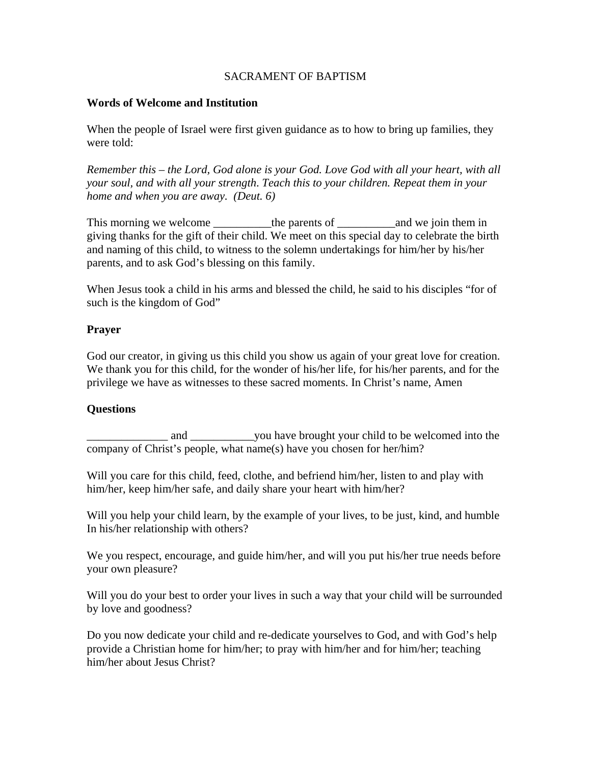## SACRAMENT OF BAPTISM

## **Words of Welcome and Institution**

When the people of Israel were first given guidance as to how to bring up families, they were told:

*Remember this – the Lord, God alone is your God. Love God with all your heart, with all your soul, and with all your strength*. *Teach this to your children. Repeat them in your home and when you are away. (Deut. 6)* 

This morning we welcome \_\_\_\_\_\_\_\_\_\_the parents of \_\_\_\_\_\_\_\_\_\_and we join them in giving thanks for the gift of their child. We meet on this special day to celebrate the birth and naming of this child, to witness to the solemn undertakings for him/her by his/her parents, and to ask God's blessing on this family.

When Jesus took a child in his arms and blessed the child, he said to his disciples "for of such is the kingdom of God"

# **Prayer**

God our creator, in giving us this child you show us again of your great love for creation. We thank you for this child, for the wonder of his/her life, for his/her parents, and for the privilege we have as witnesses to these sacred moments. In Christ's name, Amen

# **Questions**

and \_\_\_\_\_\_\_\_\_\_\_\_ you have brought your child to be welcomed into the company of Christ's people, what name(s) have you chosen for her/him?

Will you care for this child, feed, clothe, and befriend him/her, listen to and play with him/her, keep him/her safe, and daily share your heart with him/her?

Will you help your child learn, by the example of your lives, to be just, kind, and humble In his/her relationship with others?

We you respect, encourage, and guide him/her, and will you put his/her true needs before your own pleasure?

Will you do your best to order your lives in such a way that your child will be surrounded by love and goodness?

Do you now dedicate your child and re-dedicate yourselves to God, and with God's help provide a Christian home for him/her; to pray with him/her and for him/her; teaching him/her about Jesus Christ?